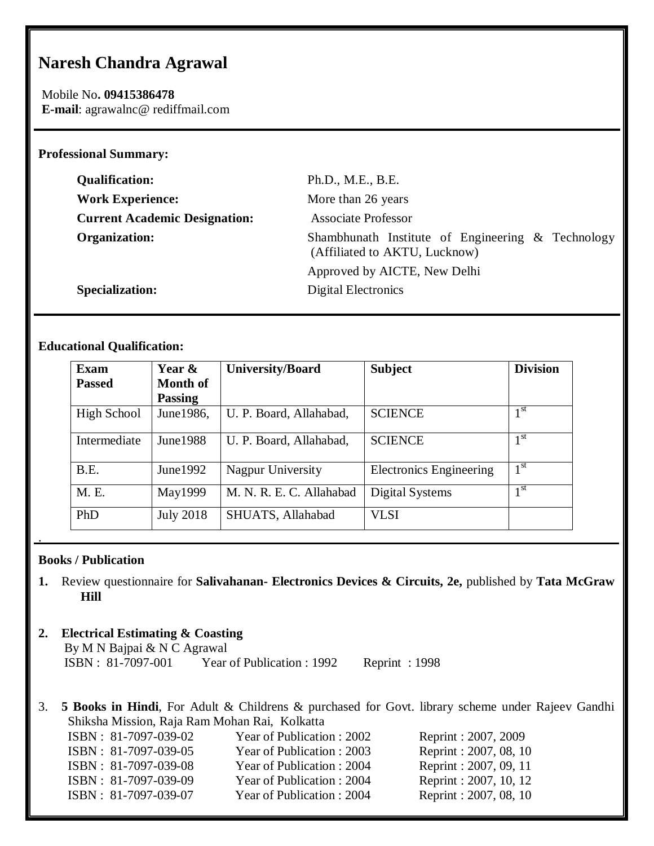# **Naresh Chandra Agrawal**

Mobile No**. 09415386478 E-mail**: agrawalnc@ rediffmail.com

#### **Professional Summary:**

| <b>Qualification:</b>                | Ph.D., M.E., B.E.                                                                  |
|--------------------------------------|------------------------------------------------------------------------------------|
| <b>Work Experience:</b>              | More than 26 years                                                                 |
| <b>Current Academic Designation:</b> | <b>Associate Professor</b>                                                         |
| <b>Organization:</b>                 | Shambhunath Institute of Engineering & Technology<br>(Affiliated to AKTU, Lucknow) |
|                                      | Approved by AICTE, New Delhi                                                       |
| <b>Specialization:</b>               | Digital Electronics                                                                |

## **Educational Qualification:**

| <b>Exam</b>   | Year &           | <b>University/Board</b>  | <b>Subject</b>                 | <b>Division</b> |
|---------------|------------------|--------------------------|--------------------------------|-----------------|
| <b>Passed</b> | <b>Month of</b>  |                          |                                |                 |
|               | <b>Passing</b>   |                          |                                |                 |
| High School   | June 1986,       | U. P. Board, Allahabad,  | <b>SCIENCE</b>                 | 1 st            |
| Intermediate  | June 1988        | U. P. Board, Allahabad,  | <b>SCIENCE</b>                 | 1 <sup>st</sup> |
| B.E.          | June $1992$      | Nagpur University        | <b>Electronics Engineering</b> | 1 <sup>st</sup> |
| M. E.         | May1999          | M. N. R. E. C. Allahabad | Digital Systems                | 1 <sup>st</sup> |
| PhD           | <b>July 2018</b> | SHUATS, Allahabad        | <b>VLSI</b>                    |                 |

### **Books / Publication**

.

**1.** Review questionnaire for **Salivahanan- Electronics Devices & Circuits, 2e,** published by **Tata McGraw Hill**

## **2. Electrical Estimating & Coasting**

By M N Bajpai & N C Agrawal<br>ISBN: 81-7097-001 Year Year of Publication : 1992 Reprint : 1998

3. **5 Books in Hindi**, For Adult & Childrens & purchased for Govt. library scheme under Rajeev Gandhi Shiksha Mission, Raja Ram Mohan Rai, Kolkatta

| ISBN: 81-7097-039-02 | Year of Publication : 2002 | Reprint: 2007, 2009    |
|----------------------|----------------------------|------------------------|
| ISBN: 81-7097-039-05 | Year of Publication : 2003 | Reprint: 2007, 08, 10  |
| ISBN: 81-7097-039-08 | Year of Publication: 2004  | Reprint: 2007, 09, 11  |
| ISBN: 81-7097-039-09 | Year of Publication: 2004  | Reprint: 2007, 10, 12  |
| ISBN: 81-7097-039-07 | Year of Publication: 2004  | Reprint : 2007, 08, 10 |